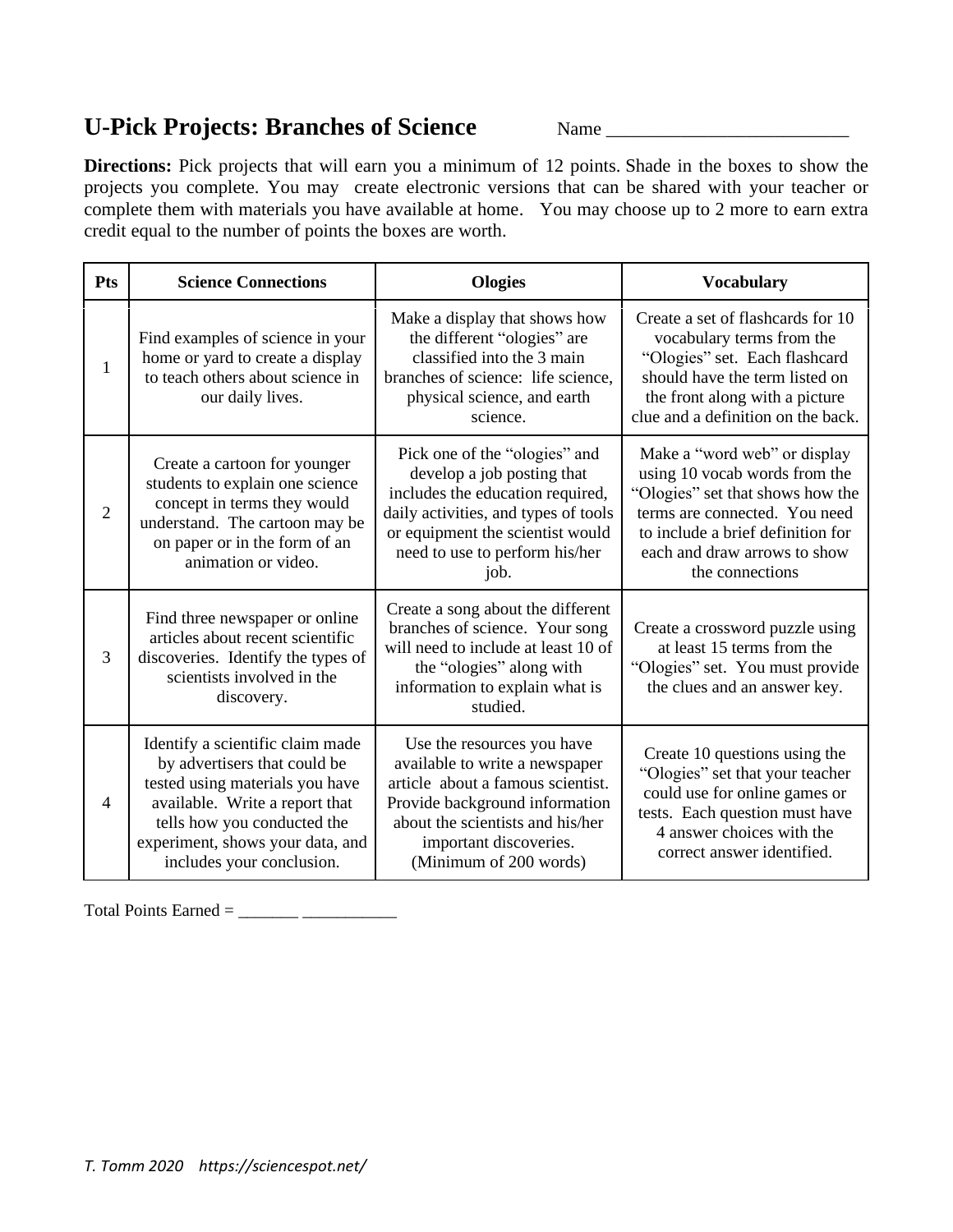## **U-Pick Projects: Branches of Science** Name \_\_\_\_\_\_\_\_\_\_\_\_\_\_\_\_\_\_\_\_\_\_\_\_\_\_

**Directions:** Pick projects that will earn you a minimum of 12 points. Shade in the boxes to show the projects you complete. You may create electronic versions that can be shared with your teacher or complete them with materials you have available at home. You may choose up to 2 more to earn extra credit equal to the number of points the boxes are worth.

| Pts            | <b>Science Connections</b>                                                                                                                                                                                                            | <b>Ologies</b>                                                                                                                                                                                                              | <b>Vocabulary</b>                                                                                                                                                                                                          |
|----------------|---------------------------------------------------------------------------------------------------------------------------------------------------------------------------------------------------------------------------------------|-----------------------------------------------------------------------------------------------------------------------------------------------------------------------------------------------------------------------------|----------------------------------------------------------------------------------------------------------------------------------------------------------------------------------------------------------------------------|
| $\mathbf{1}$   | Find examples of science in your<br>home or yard to create a display<br>to teach others about science in<br>our daily lives.                                                                                                          | Make a display that shows how<br>the different "ologies" are<br>classified into the 3 main<br>branches of science: life science,<br>physical science, and earth<br>science.                                                 | Create a set of flashcards for 10<br>vocabulary terms from the<br>"Ologies" set. Each flashcard<br>should have the term listed on<br>the front along with a picture<br>clue and a definition on the back.                  |
| $\overline{2}$ | Create a cartoon for younger<br>students to explain one science<br>concept in terms they would<br>understand. The cartoon may be<br>on paper or in the form of an<br>animation or video.                                              | Pick one of the "ologies" and<br>develop a job posting that<br>includes the education required,<br>daily activities, and types of tools<br>or equipment the scientist would<br>need to use to perform his/her<br>job.       | Make a "word web" or display<br>using 10 vocab words from the<br>"Ologies" set that shows how the<br>terms are connected. You need<br>to include a brief definition for<br>each and draw arrows to show<br>the connections |
| 3              | Find three newspaper or online<br>articles about recent scientific<br>discoveries. Identify the types of<br>scientists involved in the<br>discovery.                                                                                  | Create a song about the different<br>branches of science. Your song<br>will need to include at least 10 of<br>the "ologies" along with<br>information to explain what is<br>studied.                                        | Create a crossword puzzle using<br>at least 15 terms from the<br>"Ologies" set. You must provide<br>the clues and an answer key.                                                                                           |
| $\overline{4}$ | Identify a scientific claim made<br>by advertisers that could be<br>tested using materials you have<br>available. Write a report that<br>tells how you conducted the<br>experiment, shows your data, and<br>includes your conclusion. | Use the resources you have<br>available to write a newspaper<br>article about a famous scientist.<br>Provide background information<br>about the scientists and his/her<br>important discoveries.<br>(Minimum of 200 words) | Create 10 questions using the<br>"Ologies" set that your teacher<br>could use for online games or<br>tests. Each question must have<br>4 answer choices with the<br>correct answer identified.                             |

Total Points Earned =  $\_\_\_\_\_\_\_\_\_\_\_\_$